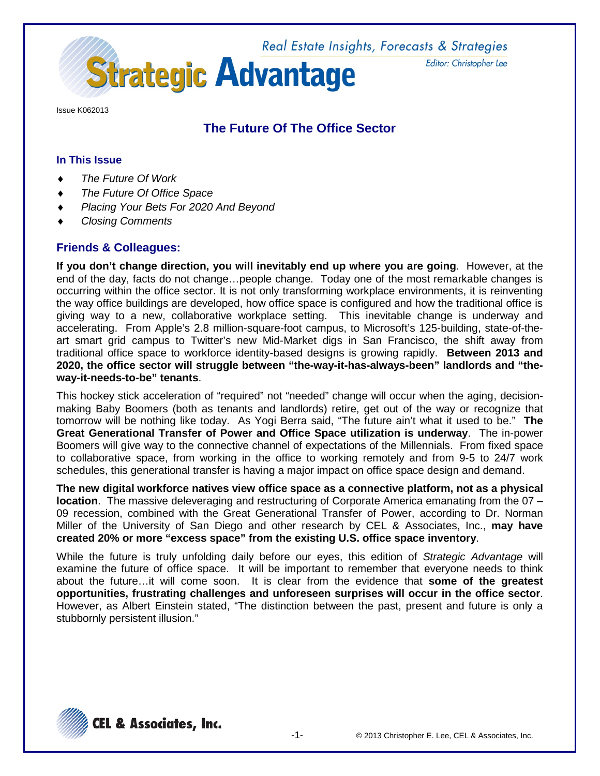Real Estate Insights, Forecasts & Strategies **Strategic Advantage** 

Editor: Christopher Lee

Issue K062013

# **The Future Of The Office Sector**

#### **In This Issue**

- **The Future Of Work**
- **The Future Of Office Space**
- ♦ *Placing Your Bets For 2020 And Beyond*
- ♦ *Closing Comments*

### **Friends & Colleagues:**

**If you don't change direction, you will inevitably end up where you are going**. However, at the end of the day, facts do not change…people change. Today one of the most remarkable changes is occurring within the office sector. It is not only transforming workplace environments, it is reinventing the way office buildings are developed, how office space is configured and how the traditional office is giving way to a new, collaborative workplace setting. This inevitable change is underway and accelerating. From Apple's 2.8 million-square-foot campus, to Microsoft's 125-building, state-of-theart smart grid campus to Twitter's new Mid-Market digs in San Francisco, the shift away from traditional office space to workforce identity-based designs is growing rapidly. **Between 2013 and 2020, the office sector will struggle between "the-way-it-has-always-been" landlords and "theway-it-needs-to-be" tenants**.

This hockey stick acceleration of "required" not "needed" change will occur when the aging, decisionmaking Baby Boomers (both as tenants and landlords) retire, get out of the way or recognize that tomorrow will be nothing like today. As Yogi Berra said, "The future ain't what it used to be." **The Great Generational Transfer of Power and Office Space utilization is underway**. The in-power Boomers will give way to the connective channel of expectations of the Millennials. From fixed space to collaborative space, from working in the office to working remotely and from 9-5 to 24/7 work schedules, this generational transfer is having a major impact on office space design and demand.

**The new digital workforce natives view office space as a connective platform, not as a physical location**. The massive deleveraging and restructuring of Corporate America emanating from the 07 – 09 recession, combined with the Great Generational Transfer of Power, according to Dr. Norman Miller of the University of San Diego and other research by CEL & Associates, Inc., **may have created 20% or more "excess space" from the existing U.S. office space inventory**.

While the future is truly unfolding daily before our eyes, this edition of *Strategic Advantage* will examine the future of office space. It will be important to remember that everyone needs to think about the future…it will come soon. It is clear from the evidence that **some of the greatest opportunities, frustrating challenges and unforeseen surprises will occur in the office sector**. However, as Albert Einstein stated, "The distinction between the past, present and future is only a stubbornly persistent illusion."

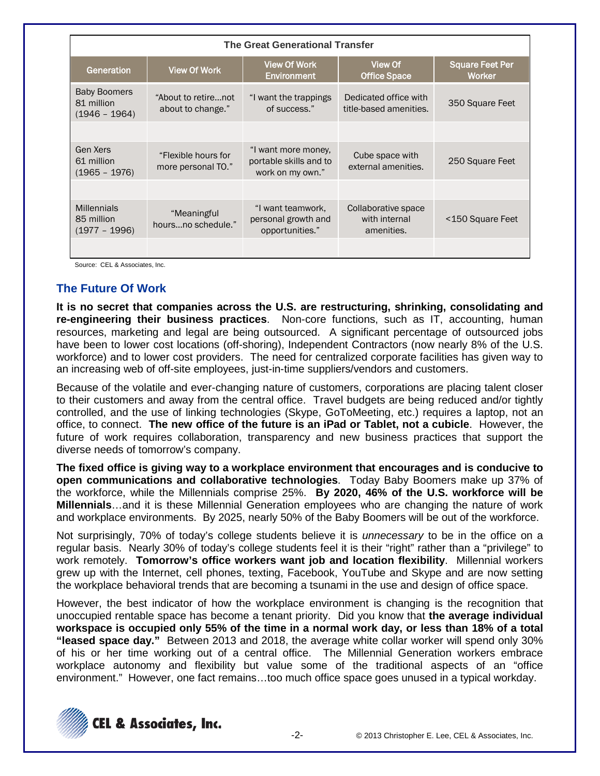| <b>The Great Generational Transfer</b>               |                                                                                   |                                                                   |                                                    |                                         |  |  |
|------------------------------------------------------|-----------------------------------------------------------------------------------|-------------------------------------------------------------------|----------------------------------------------------|-----------------------------------------|--|--|
| Generation                                           | <b>View Of Work</b>                                                               | <b>View Of Work</b><br>Environment                                | <b>View Of</b><br><b>Office Space</b>              | <b>Square Feet Per</b><br><b>Worker</b> |  |  |
| <b>Baby Boomers</b><br>81 million<br>$(1946 - 1964)$ | "About to retirenot<br>"I want the trappings<br>of success."<br>about to change." |                                                                   | Dedicated office with<br>title-based amenities.    | 350 Square Feet                         |  |  |
|                                                      |                                                                                   |                                                                   |                                                    |                                         |  |  |
| Gen Xers<br>61 million<br>$(1965 - 1976)$            | "Flexible hours for<br>more personal TO."                                         | "I want more money,<br>portable skills and to<br>work on my own." | Cube space with<br>external amenities.             | 250 Square Feet                         |  |  |
|                                                      |                                                                                   |                                                                   |                                                    |                                         |  |  |
| <b>Millennials</b><br>85 million<br>$(1977 - 1996)$  | "Meaningful<br>hoursno schedule."                                                 | "I want teamwork,<br>personal growth and<br>opportunities."       | Collaborative space<br>with internal<br>amenities. | <150 Square Feet                        |  |  |
|                                                      |                                                                                   |                                                                   |                                                    |                                         |  |  |

Source: CEL & Associates, Inc.

### **The Future Of Work**

**It is no secret that companies across the U.S. are restructuring, shrinking, consolidating and re-engineering their business practices**. Non-core functions, such as IT, accounting, human resources, marketing and legal are being outsourced. A significant percentage of outsourced jobs have been to lower cost locations (off-shoring), Independent Contractors (now nearly 8% of the U.S. workforce) and to lower cost providers. The need for centralized corporate facilities has given way to an increasing web of off-site employees, just-in-time suppliers/vendors and customers.

Because of the volatile and ever-changing nature of customers, corporations are placing talent closer to their customers and away from the central office. Travel budgets are being reduced and/or tightly controlled, and the use of linking technologies (Skype, GoToMeeting, etc.) requires a laptop, not an office, to connect. **The new office of the future is an iPad or Tablet, not a cubicle**. However, the future of work requires collaboration, transparency and new business practices that support the diverse needs of tomorrow's company.

**The fixed office is giving way to a workplace environment that encourages and is conducive to open communications and collaborative technologies**. Today Baby Boomers make up 37% of the workforce, while the Millennials comprise 25%. **By 2020, 46% of the U.S. workforce will be Millennials**…and it is these Millennial Generation employees who are changing the nature of work and workplace environments. By 2025, nearly 50% of the Baby Boomers will be out of the workforce.

Not surprisingly, 70% of today's college students believe it is *unnecessary* to be in the office on a regular basis. Nearly 30% of today's college students feel it is their "right" rather than a "privilege" to work remotely. **Tomorrow's office workers want job and location flexibility**. Millennial workers grew up with the Internet, cell phones, texting, Facebook, YouTube and Skype and are now setting the workplace behavioral trends that are becoming a tsunami in the use and design of office space.

However, the best indicator of how the workplace environment is changing is the recognition that unoccupied rentable space has become a tenant priority. Did you know that **the average individual workspace is occupied only 55% of the time in a normal work day, or less than 18% of a total "leased space day."** Between 2013 and 2018, the average white collar worker will spend only 30% of his or her time working out of a central office. The Millennial Generation workers embrace workplace autonomy and flexibility but value some of the traditional aspects of an "office environment." However, one fact remains…too much office space goes unused in a typical workday.

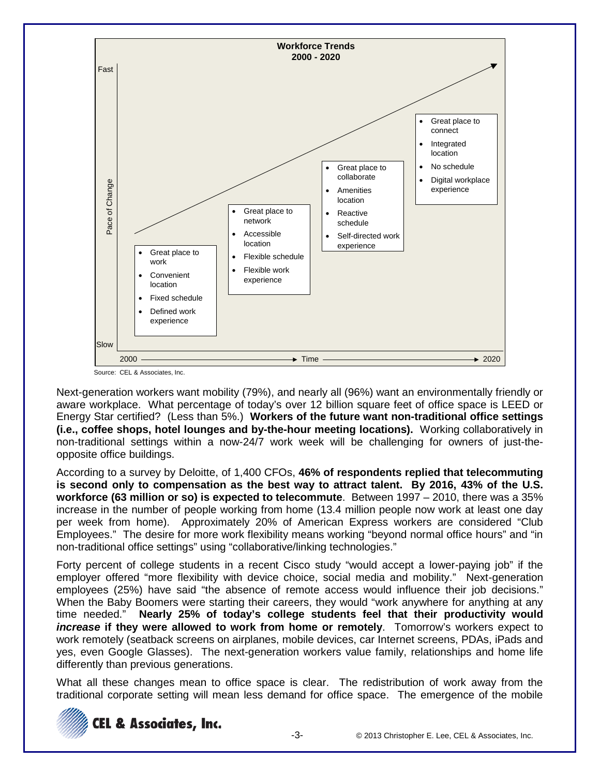

Source: CEL & Associates, Inc.

Next-generation workers want mobility (79%), and nearly all (96%) want an environmentally friendly or aware workplace. What percentage of today's over 12 billion square feet of office space is LEED or Energy Star certified? (Less than 5%.) **Workers of the future want non-traditional office settings (i.e., coffee shops, hotel lounges and by-the-hour meeting locations).** Working collaboratively in non-traditional settings within a now-24/7 work week will be challenging for owners of just-theopposite office buildings.

According to a survey by Deloitte, of 1,400 CFOs, **46% of respondents replied that telecommuting is second only to compensation as the best way to attract talent. By 2016, 43% of the U.S. workforce (63 million or so) is expected to telecommute**. Between 1997 – 2010, there was a 35% increase in the number of people working from home (13.4 million people now work at least one day per week from home). Approximately 20% of American Express workers are considered "Club Employees." The desire for more work flexibility means working "beyond normal office hours" and "in non-traditional office settings" using "collaborative/linking technologies."

Forty percent of college students in a recent Cisco study "would accept a lower-paying job" if the employer offered "more flexibility with device choice, social media and mobility." Next-generation employees (25%) have said "the absence of remote access would influence their job decisions." When the Baby Boomers were starting their careers, they would "work anywhere for anything at any time needed." **Nearly 25% of today's college students feel that their productivity would**  *increase* **if they were allowed to work from home or remotely**. Tomorrow's workers expect to work remotely (seatback screens on airplanes, mobile devices, car Internet screens, PDAs, iPads and yes, even Google Glasses). The next-generation workers value family, relationships and home life differently than previous generations.

What all these changes mean to office space is clear. The redistribution of work away from the traditional corporate setting will mean less demand for office space. The emergence of the mobile

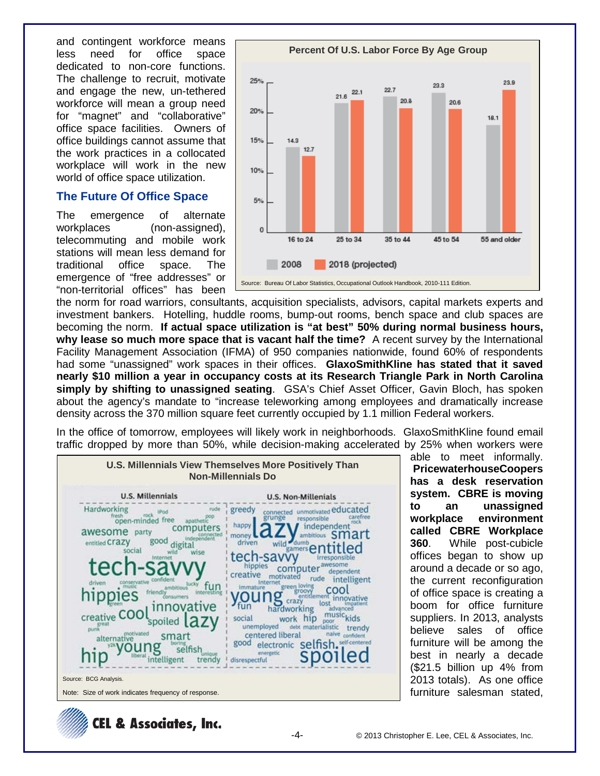and contingent workforce means<br>less need for office space less need for office space dedicated to non-core functions. The challenge to recruit, motivate and engage the new, un-tethered workforce will mean a group need for "magnet" and "collaborative" office space facilities. Owners of office buildings cannot assume that the work practices in a collocated workplace will work in the new world of office space utilization.

#### **The Future Of Office Space**

The emergence of alternate workplaces (non-assigned), telecommuting and mobile work stations will mean less demand for traditional office space. The emergence of "free addresses" or "non-territorial offices" has been



the norm for road warriors, consultants, acquisition specialists, advisors, capital markets experts and investment bankers. Hotelling, huddle rooms, bump-out rooms, bench space and club spaces are becoming the norm. **If actual space utilization is "at best" 50% during normal business hours, why lease so much more space that is vacant half the time?** A recent survey by the International Facility Management Association (IFMA) of 950 companies nationwide, found 60% of respondents had some "unassigned" work spaces in their offices. **GlaxoSmithKline has stated that it saved nearly \$10 million a year in occupancy costs at its Research Triangle Park in North Carolina simply by shifting to unassigned seating**. GSA's Chief Asset Officer, Gavin Bloch, has spoken about the agency's mandate to "increase teleworking among employees and dramatically increase density across the 370 million square feet currently occupied by 1.1 million Federal workers.

In the office of tomorrow, employees will likely work in neighborhoods. GlaxoSmithKline found email traffic dropped by more than 50%, while decision-making accelerated by 25% when workers were



able to meet informally. **PricewaterhouseCoopers has a desk reservation system. CBRE is moving to an unassigned workplace environment called CBRE Workplace 360**. While post-cubicle offices began to show up around a decade or so ago, the current reconfiguration of office space is creating a boom for office furniture suppliers. In 2013, analysts believe sales of office furniture will be among the best in nearly a decade (\$21.5 billion up 4% from 2013 totals). As one office furniture salesman stated,

**CEL & Associates, Inc.**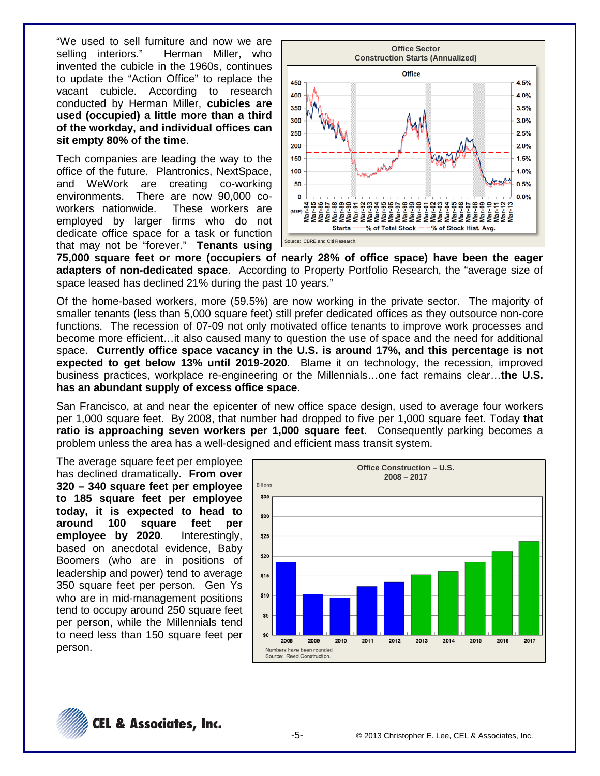"We used to sell furniture and now we are Herman Miller, who invented the cubicle in the 1960s, continues to update the "Action Office" to replace the vacant cubicle. According to research conducted by Herman Miller, **cubicles are used (occupied) a little more than a third of the workday, and individual offices can sit empty 80% of the time**.

Tech companies are leading the way to the office of the future. Plantronics, NextSpace, and WeWork are creating co-working environments. There are now 90,000 coworkers nationwide. These workers are employed by larger firms who do not dedicate office space for a task or function that may not be "forever." **Tenants using** 



**75,000 square feet or more (occupiers of nearly 28% of office space) have been the eager adapters of non-dedicated space**. According to Property Portfolio Research, the "average size of space leased has declined 21% during the past 10 years."

Of the home-based workers, more (59.5%) are now working in the private sector. The majority of smaller tenants (less than 5,000 square feet) still prefer dedicated offices as they outsource non-core functions. The recession of 07-09 not only motivated office tenants to improve work processes and become more efficient…it also caused many to question the use of space and the need for additional space. **Currently office space vacancy in the U.S. is around 17%, and this percentage is not expected to get below 13% until 2019-2020**. Blame it on technology, the recession, improved business practices, workplace re-engineering or the Millennials…one fact remains clear…**the U.S. has an abundant supply of excess office space**.

San Francisco, at and near the epicenter of new office space design, used to average four workers per 1,000 square feet. By 2008, that number had dropped to five per 1,000 square feet. Today **that ratio is approaching seven workers per 1,000 square feet**. Consequently parking becomes a problem unless the area has a well-designed and efficient mass transit system.

The average square feet per employee has declined dramatically. **From over 320 – 340 square feet per employee to 185 square feet per employee today, it is expected to head to around 100 square feet per employee by 2020**. Interestingly, based on anecdotal evidence, Baby Boomers (who are in positions of leadership and power) tend to average 350 square feet per person. Gen Ys who are in mid-management positions tend to occupy around 250 square feet per person, while the Millennials tend to need less than 150 square feet per person.



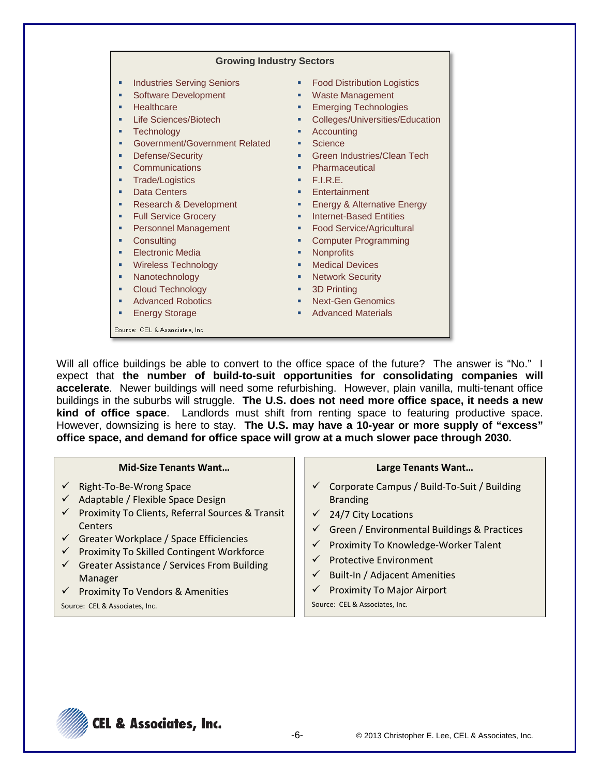Will all office buildings be able to convert to the office space of the future? The answer is "No." I expect that **the number of build-to-suit opportunities for consolidating companies will accelerate**. Newer buildings will need some refurbishing. However, plain vanilla, multi-tenant office buildings in the suburbs will struggle. **The U.S. does not need more office space, it needs a new kind of office space**. Landlords must shift from renting space to featuring productive space. However, downsizing is here to stay. **The U.S. may have a 10-year or more supply of "excess" office space, and demand for office space will grow at a much slower pace through 2030.**

#### **Mid-Size Tenants Want…**

- $\checkmark$  Right-To-Be-Wrong Space
- $\checkmark$  Adaptable / Flexible Space Design
- $\checkmark$  Proximity To Clients, Referral Sources & Transit **Centers**
- $\checkmark$  Greater Workplace / Space Efficiencies
- $\checkmark$  Proximity To Skilled Contingent Workforce
- $\checkmark$  Greater Assistance / Services From Building Manager
- $\checkmark$  Proximity To Vendors & Amenities

Source: CEL & Associates, Inc.

#### **Large Tenants Want…**

- $\checkmark$  Corporate Campus / Build-To-Suit / Building Branding
- $\checkmark$  24/7 City Locations
- $\checkmark$  Green / Environmental Buildings & Practices
- $\checkmark$  Proximity To Knowledge-Worker Talent
- $\checkmark$  Protective Environment
- $\checkmark$  Built-In / Adjacent Amenities
- $\checkmark$  Proximity To Major Airport

Source: CEL & Associates, Inc.

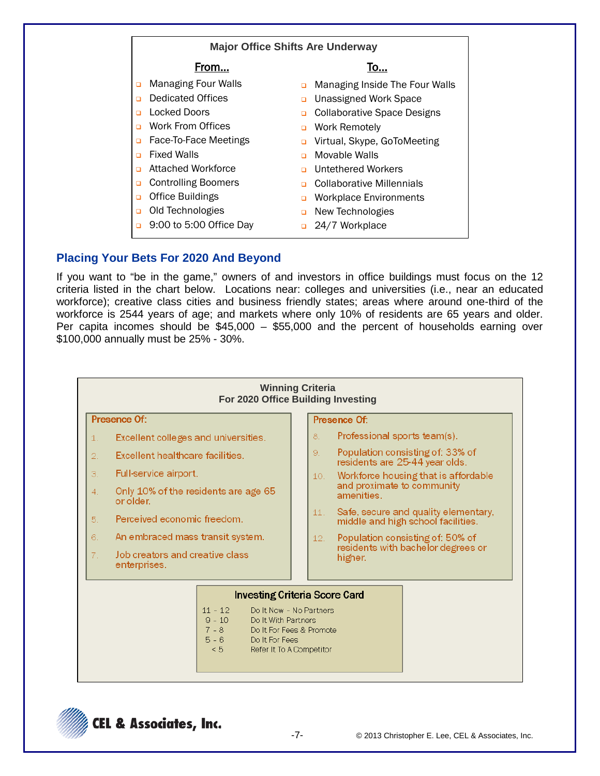| <b>Major Office Shifts Are Underway</b> |                            |        |                                    |  |  |
|-----------------------------------------|----------------------------|--------|------------------------------------|--|--|
|                                         | From                       |        | To                                 |  |  |
| $\Box$                                  | <b>Managing Four Walls</b> | $\Box$ | Managing Inside The Four Walls     |  |  |
| $\Box$                                  | Dedicated Offices          | $\Box$ | <b>Unassigned Work Space</b>       |  |  |
| $\Box$                                  | Locked Doors               | □      | <b>Collaborative Space Designs</b> |  |  |
| $\Box$                                  | Work From Offices          | $\Box$ | Work Remotely                      |  |  |
| $\Box$                                  | Face-To-Face Meetings      | □      | Virtual, Skype, GoToMeeting        |  |  |
| $\Box$                                  | <b>Fixed Walls</b>         | $\Box$ | Movable Walls                      |  |  |
| □                                       | Attached Workforce         | n      | Untethered Workers                 |  |  |
| □                                       | <b>Controlling Boomers</b> | n      | Collaborative Millennials          |  |  |
| ▫                                       | <b>Office Buildings</b>    | □      | <b>Workplace Environments</b>      |  |  |
| □                                       | Old Technologies           | $\Box$ | New Technologies                   |  |  |
| $\Box$                                  | 9:00 to 5:00 Office Day    |        | 24/7 Workplace                     |  |  |

### **Placing Your Bets For 2020 And Beyond**

If you want to "be in the game," owners of and investors in office buildings must focus on the 12 criteria listed in the chart below. Locations near: colleges and universities (i.e., near an educated workforce); creative class cities and business friendly states; areas where around one-third of the workforce is 2544 years of age; and markets where only 10% of residents are 65 years and older. Per capita incomes should be  $$45,000 - $55,000$  and the percent of households earning over \$100,000 annually must be 25% - 30%.



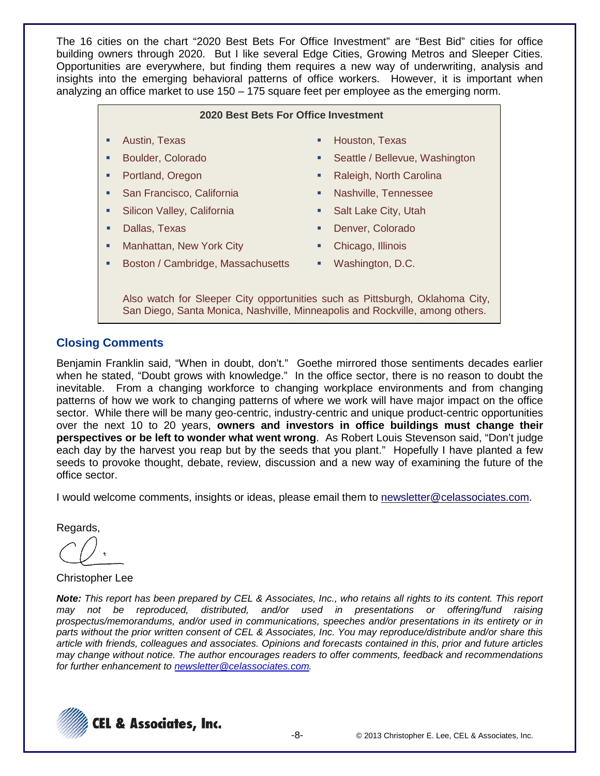The 16 cities on the chart "2020 Best Bets For Office Investment" are "Best Bid" cities for office building owners through 2020. But I like several Edge Cities, Growing Metros and Sleeper Cities. Opportunities are everywhere, but finding them requires a new way of underwriting, analysis and insights into the emerging behavioral patterns of office workers. However, it is important when analyzing an office market to use 150 – 175 square feet per employee as the emerging norm.

|  |  | 2020 Best Bets For Office Investment |  |
|--|--|--------------------------------------|--|
|--|--|--------------------------------------|--|

- **Austin, Texas <b>Houston, Texas Houston, Texas**
- 
- 
- San Francisco, California **III. II. Alexander School California Nashville, Tennessee**
- Silicon Valley, California **California Salt Lake City, Utah**
- 
- Manhattan, New York City **Chicago, Illinois Chicago**, Illinois
- 
- Boulder, Colorado **Seattle / Seattle / Bellevue, Washington**
- Portland, Oregon **Bank Carolina Raleigh, North Carolina** 
	-
	-
- **Dallas, Texas <b>Dallas**, Texas **Denver, Colorado** 
	-
- **Boston / Cambridge, Massachusetts · Washington, D.C.** 
	-

Also watch for Sleeper City opportunities such as Pittsburgh, Oklahoma City, San Diego, Santa Monica, Nashville, Minneapolis and Rockville, among others.

### **Closing Comments**

Benjamin Franklin said, "When in doubt, don't." Goethe mirrored those sentiments decades earlier when he stated, "Doubt grows with knowledge." In the office sector, there is no reason to doubt the inevitable. From a changing workforce to changing workplace environments and from changing patterns of how we work to changing patterns of where we work will have major impact on the office sector. While there will be many geo-centric, industry-centric and unique product-centric opportunities over the next 10 to 20 years, **owners and investors in office buildings must change their perspectives or be left to wonder what went wrong**. As Robert Louis Stevenson said, "Don't judge each day by the harvest you reap but by the seeds that you plant." Hopefully I have planted a few seeds to provoke thought, debate, review, discussion and a new way of examining the future of the office sector.

I would welcome comments, insights or ideas, please email them to newsletter@celassociates.com.

Regards,

Christopher Lee

*Note: This report has been prepared by CEL & Associates, Inc., who retains all rights to its content. This report may not be reproduced, distributed, and/or used in presentations or offering/fund raising prospectus/memorandums, and/or used in communications, speeches and/or presentations in its entirety or in parts without the prior written consent of CEL & Associates, Inc. You may reproduce/distribute and/or share this article with friends, colleagues and associates. Opinions and forecasts contained in this, prior and future articles may change without notice. The author encourages readers to offer comments, feedback and recommendations for further enhancement to [newsletter@celassociates.com.](mailto:newsletter@celassociates.com)*

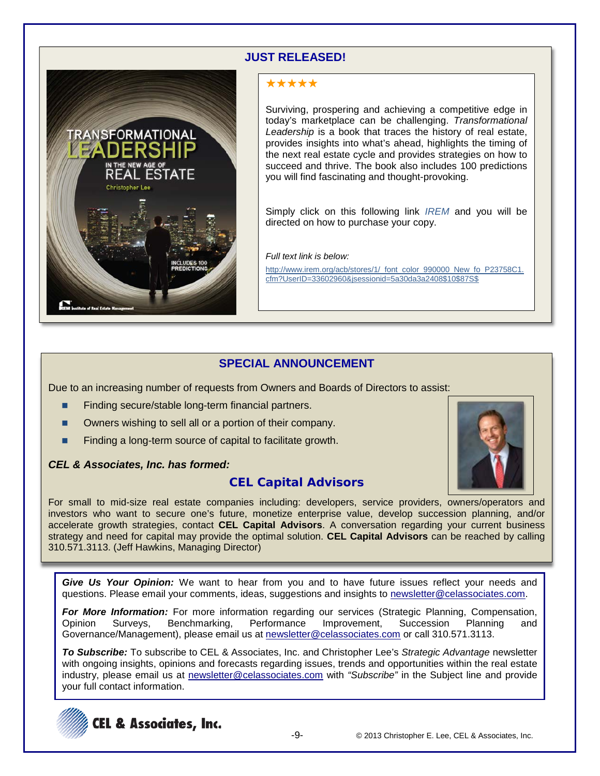### **JUST RELEASED!**



## \*\*\*\*\*

Surviving, prospering and achieving a competitive edge in today's marketplace can be challenging. *Transformational Leadership* is a book that traces the history of real estate, provides insights into what's ahead, highlights the timing of the next real estate cycle and provides strategies on how to succeed and thrive. The book also includes 100 predictions you will find fascinating and thought-provoking.

Simply click on this following link *[IREM](http://www.irem.org/acb/stores/1/_font_color_990000_New_fo_P23758C1.cfm?UserID=33602960&jsessionid=5a30da3a2408$10$87S$)* and you will be directed on how to purchase your copy.

*Full text link is below:*

http://www.irem.org/acb/stores/1/\_font\_color\_990000\_New\_fo\_P23758C1. cfm?UserID=33602960&jsessionid=5a30da3a2408\$10\$87S\$

### **SPECIAL ANNOUNCEMENT**

Due to an increasing number of requests from Owners and Boards of Directors to assist:

- Finding secure/stable long-term financial partners.
- Owners wishing to sell all or a portion of their company.
- Finding a long-term source of capital to facilitate growth.

#### *CEL & Associates, Inc. has formed:*

## **CEL Capital Advisors**



For small to mid-size real estate companies including: developers, service providers, owners/operators and investors who want to secure one's future, monetize enterprise value, develop succession planning, and/or accelerate growth strategies, contact **CEL Capital Advisors**. A conversation regarding your current business strategy and need for capital may provide the optimal solution. **CEL Capital Advisors** can be reached by calling 310.571.3113. (Jeff Hawkins, Managing Director)

*Give Us Your Opinion:* We want to hear from you and to have future issues reflect your needs and questions. Please email your comments, ideas, suggestions and insights to newsletter@celassociates.com.

*For More Information:* For more information regarding our services (Strategic Planning, Compensation, Opinion Surveys, Benchmarking, Performance Improvement, Succession Planning and Governance/Management), please email us at newsletter@celassociates.com or call 310.571.3113.

*To Subscribe:* To subscribe to CEL & Associates, Inc. and Christopher Lee's *Strategic Advantage* newsletter with ongoing insights, opinions and forecasts regarding issues, trends and opportunities within the real estate industry, please email us at newsletter@celassociates.com with *"Subscribe"* in the Subject line and provide your full contact information.